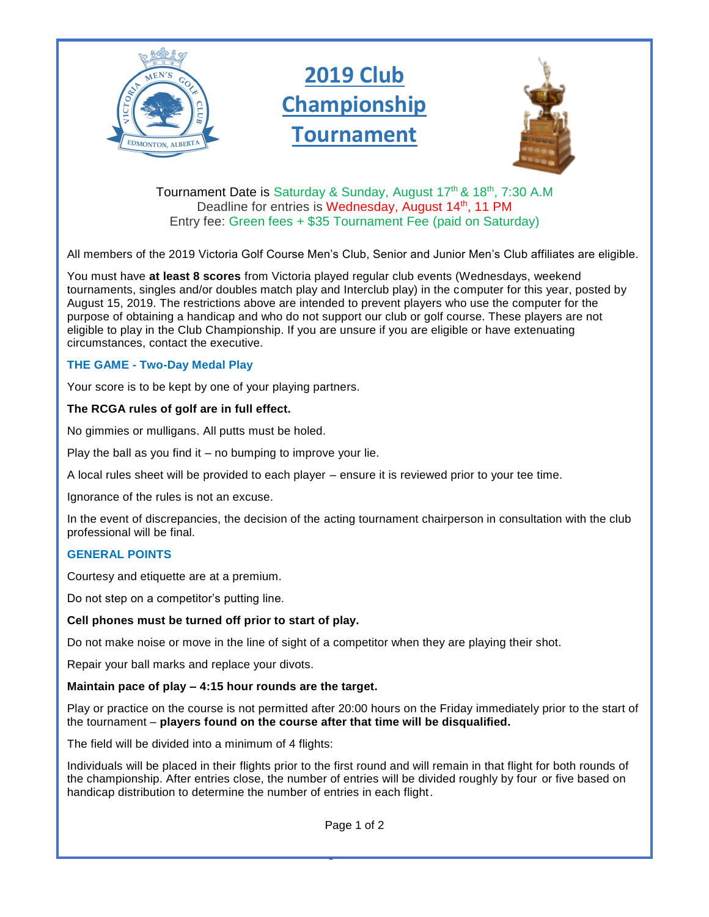

Tournament Date is Saturday & Sunday, August 17<sup>th</sup> & 18<sup>th</sup>, 7:30 A.M Deadline for entries is Wednesday, August 14<sup>th</sup>, 11 PM Entry fee: Green fees + \$35 Tournament Fee (paid on Saturday)

All members of the 2019 Victoria Golf Course Men's Club, Senior and Junior Men's Club affiliates are eligible.

You must have **at least 8 scores** from Victoria played regular club events (Wednesdays, weekend tournaments, singles and/or doubles match play and Interclub play) in the computer for this year, posted by August 15, 2019. The restrictions above are intended to prevent players who use the computer for the purpose of obtaining a handicap and who do not support our club or golf course. These players are not eligible to play in the Club Championship. If you are unsure if you are eligible or have extenuating circumstances, contact the executive.

## **THE GAME - Two-Day Medal Play**

Your score is to be kept by one of your playing partners.

## **The RCGA rules of golf are in full effect.**

No gimmies or mulligans. All putts must be holed.

Play the ball as you find it – no bumping to improve your lie.

A local rules sheet will be provided to each player – ensure it is reviewed prior to your tee time.

Ignorance of the rules is not an excuse.

In the event of discrepancies, the decision of the acting tournament chairperson in consultation with the club professional will be final.

## **GENERAL POINTS**

Courtesy and etiquette are at a premium.

Do not step on a competitor's putting line.

## **Cell phones must be turned off prior to start of play.**

Do not make noise or move in the line of sight of a competitor when they are playing their shot.

Repair your ball marks and replace your divots.

### **Maintain pace of play – 4:15 hour rounds are the target.**

Play or practice on the course is not permitted after 20:00 hours on the Friday immediately prior to the start of the tournament – **players found on the course after that time will be disqualified.**

The field will be divided into a minimum of 4 flights:

Individuals will be placed in their flights prior to the first round and will remain in that flight for both rounds of the championship. After entries close, the number of entries will be divided roughly by four or five based on handicap distribution to determine the number of entries in each flight.

1